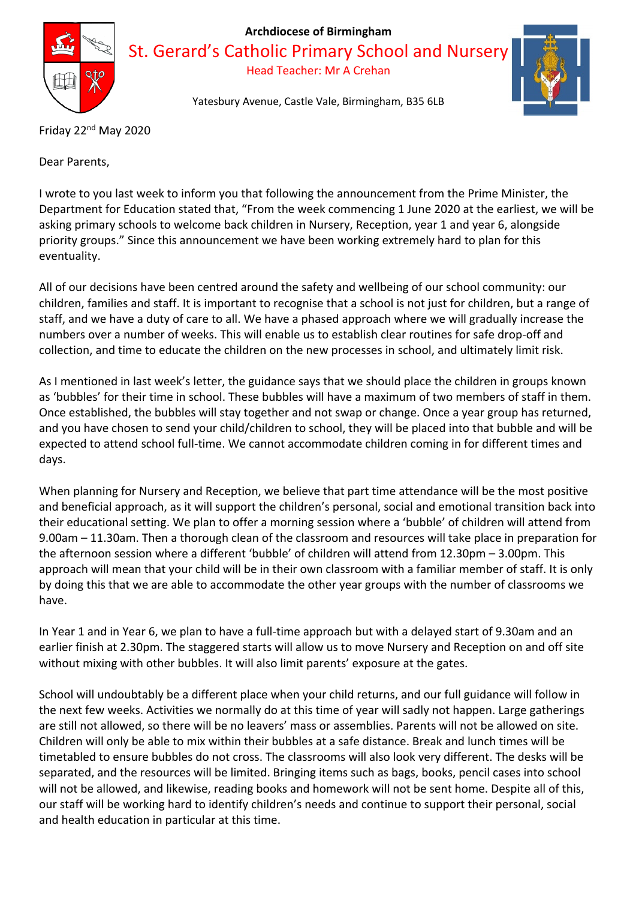

#### **Archdiocese of Birmingham**

St. Gerard's Catholic Primary School and Nursery

Head Teacher: Mr A Crehan

Yatesbury Avenue, Castle Vale, Birmingham, B35 6LB



Friday 22nd May 2020

Dear Parents,

I wrote to you last week to inform you that following the announcement from the Prime Minister, the Department for Education stated that, "From the week commencing 1 June 2020 at the earliest, we will be asking primary schools to welcome back children in Nursery, Reception, year 1 and year 6, alongside priority groups." Since this announcement we have been working extremely hard to plan for this eventuality.

All of our decisions have been centred around the safety and wellbeing of our school community: our children, families and staff. It is important to recognise that a school is not just for children, but a range of staff, and we have a duty of care to all. We have a phased approach where we will gradually increase the numbers over a number of weeks. This will enable us to establish clear routines for safe drop-off and collection, and time to educate the children on the new processes in school, and ultimately limit risk.

As I mentioned in last week's letter, the guidance says that we should place the children in groups known as 'bubbles' for their time in school. These bubbles will have a maximum of two members of staff in them. Once established, the bubbles will stay together and not swap or change. Once a year group has returned, and you have chosen to send your child/children to school, they will be placed into that bubble and will be expected to attend school full-time. We cannot accommodate children coming in for different times and days.

When planning for Nursery and Reception, we believe that part time attendance will be the most positive and beneficial approach, as it will support the children's personal, social and emotional transition back into their educational setting. We plan to offer a morning session where a 'bubble' of children will attend from 9.00am – 11.30am. Then a thorough clean of the classroom and resources will take place in preparation for the afternoon session where a different 'bubble' of children will attend from 12.30pm – 3.00pm. This approach will mean that your child will be in their own classroom with a familiar member of staff. It is only by doing this that we are able to accommodate the other year groups with the number of classrooms we have.

In Year 1 and in Year 6, we plan to have a full-time approach but with a delayed start of 9.30am and an earlier finish at 2.30pm. The staggered starts will allow us to move Nursery and Reception on and off site without mixing with other bubbles. It will also limit parents' exposure at the gates.

School will undoubtably be a different place when your child returns, and our full guidance will follow in the next few weeks. Activities we normally do at this time of year will sadly not happen. Large gatherings are still not allowed, so there will be no leavers' mass or assemblies. Parents will not be allowed on site. Children will only be able to mix within their bubbles at a safe distance. Break and lunch times will be timetabled to ensure bubbles do not cross. The classrooms will also look very different. The desks will be separated, and the resources will be limited. Bringing items such as bags, books, pencil cases into school will not be allowed, and likewise, reading books and homework will not be sent home. Despite all of this, our staff will be working hard to identify children's needs and continue to support their personal, social and health education in particular at this time.